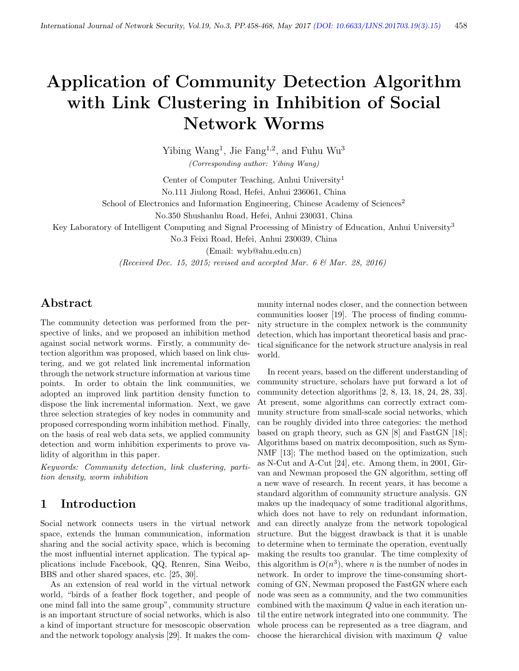# Application of Community Detection Algorithm with Link Clustering in Inhibition of Social Network Worms

Yibing Wang<sup>1</sup>, Jie Fang<sup>1,2</sup>, and Fuhu Wu<sup>3</sup> (Corresponding author: Yibing Wang)

Center of Computer Teaching, Anhui University<sup>1</sup> No.111 Jiulong Road, Hefei, Anhui 236061, China

School of Electronics and Information Engineering, Chinese Academy of Sciences<sup>2</sup>

No.350 Shushanhu Road, Hefei, Anhui 230031, China

Key Laboratory of Intelligent Computing and Signal Processing of Ministry of Education, Anhui University<sup>3</sup>

No.3 Feixi Road, Hefei, Anhui 230039, China

(Email: wyb@ahu.edu.cn)

(Received Dec. 15, 2015; revised and accepted Mar. 6  $\mathcal{B}$  Mar. 28, 2016)

# Abstract

The community detection was performed from the perspective of links, and we proposed an inhibition method against social network worms. Firstly, a community detection algorithm was proposed, which based on link clustering, and we got related link incremental information through the network structure information at various time points. In order to obtain the link communities, we adopted an improved link partition density function to dispose the link incremental information. Next, we gave three selection strategies of key nodes in community and proposed corresponding worm inhibition method. Finally, on the basis of real web data sets, we applied community detection and worm inhibition experiments to prove validity of algorithm in this paper.

Keywords: Community detection, link clustering, partition density, worm inhibition

# 1 Introduction

Social network connects users in the virtual network space, extends the human communication, information sharing and the social activity space, which is becoming the most influential internet application. The typical applications include Facebook, QQ, Renren, Sina Weibo, BBS and other shared spaces, etc. [25, 30].

As an extension of real world in the virtual network world, "birds of a feather flock together, and people of one mind fall into the same group", community structure is an important structure of social networks, which is also a kind of important structure for mesoscopic observation and the network topology analysis [29]. It makes the community internal nodes closer, and the connection between communities looser [19]. The process of finding community structure in the complex network is the community detection, which has important theoretical basis and practical significance for the network structure analysis in real world.

In recent years, based on the different understanding of community structure, scholars have put forward a lot of community detection algorithms [2, 8, 13, 18, 24, 28, 33]. At present, some algorithms can correctly extract community structure from small-scale social networks, which can be roughly divided into three categories: the method based on graph theory, such as GN [8] and FastGN [18]; Algorithms based on matrix decomposition, such as Sym-NMF [13]; The method based on the optimization, such as N-Cut and A-Cut [24], etc. Among them, in 2001, Girvan and Newman proposed the GN algorithm, setting off a new wave of research. In recent years, it has become a standard algorithm of community structure analysis. GN makes up the inadequacy of some traditional algorithms, which does not have to rely on redundant information, and can directly analyze from the network topological structure. But the biggest drawback is that it is unable to determine when to terminate the operation, eventually making the results too granular. The time complexity of this algorithm is  $O(n^3)$ , where *n* is the number of nodes in network. In order to improve the time-consuming shortcoming of GN, Newman proposed the FastGN where each node was seen as a community, and the two communities combined with the maximum Q value in each iteration until the entire network integrated into one community. The whole process can be represented as a tree diagram, and choose the hierarchical division with maximum Q value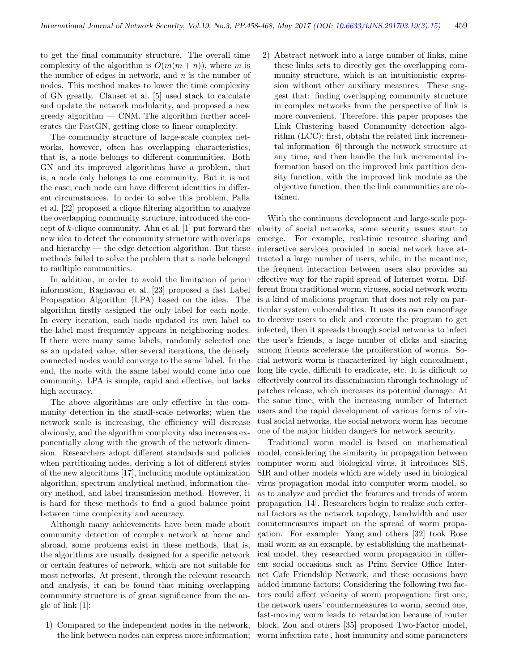to get the final community structure. The overall time complexity of the algorithm is  $O(m(m+n))$ , where m is the number of edges in network, and  $n$  is the number of nodes. This method makes to lower the time complexity of GN greatly. Clauset et al. [5] used stack to calculate and update the network modularity, and proposed a new greedy algorithm — CNM. The algorithm further accelerates the FastGN, getting close to linear complexity.

The community structure of large-scale complex networks, however, often has overlapping characteristics, that is, a node belongs to different communities. Both GN and its improved algorithms have a problem, that is, a node only belongs to one community. But it is not the case; each node can have different identities in different circumstances. In order to solve this problem, Palla et al. [22] proposed a clique filtering algorithm to analyze the overlapping community structure, introduced the concept of k-clique community. Ahn et al. [1] put forward the new idea to detect the community structure with overlaps and hierarchy — the edge detection algorithm. But these methods failed to solve the problem that a node belonged to multiple communities.

In addition, in order to avoid the limitation of priori information, Raghavan et al. [23] proposed a fast Label Propagation Algorithm (LPA) based on the idea. The algorithm firstly assigned the only label for each node. In every iteration, each node updated its own label to the label most frequently appears in neighboring nodes. If there were many same labels, randomly selected one as an updated value, after several iterations, the densely connected nodes would converge to the same label. In the end, the node with the same label would come into one community. LPA is simple, rapid and effective, but lacks high accuracy.

The above algorithms are only effective in the community detection in the small-scale networks; when the network scale is increasing, the efficiency will decrease obviously, and the algorithm complexity also increases exponentially along with the growth of the network dimension. Researchers adopt different standards and policies when partitioning nodes, deriving a lot of different styles of the new algorithms [17], including module optimization algorithm, spectrum analytical method, information theory method, and label transmission method. However, it is hard for these methods to find a good balance point between time complexity and accuracy.

Although many achievements have been made about community detection of complex network at home and abroad, some problems exist in these methods, that is, the algorithms are usually designed for a specific network or certain features of network, which are not suitable for most networks. At present, through the relevant research and analysis, it can be found that mining overlapping community structure is of great significance from the angle of link [1]:

1) Compared to the independent nodes in the network, the link between nodes can express more information; 2) Abstract network into a large number of links, mine these links sets to directly get the overlapping community structure, which is an intuitionistic expression without other auxiliary measures. These suggest that: finding overlapping community structure in complex networks from the perspective of link is more convenient. Therefore, this paper proposes the Link Clustering based Community detection algorithm (LCC); first, obtain the related link incremental information [6] through the network structure at any time, and then handle the link incremental information based on the improved link partition density function, with the improved link module as the objective function, then the link communities are obtained.

With the continuous development and large-scale popularity of social networks, some security issues start to emerge. For example, real-time resource sharing and interactive services provided in social network have attracted a large number of users, while, in the meantime, the frequent interaction between users also provides an effective way for the rapid spread of Internet worm. Different from traditional worm viruses, social network worm is a kind of malicious program that does not rely on particular system vulnerabilities. It uses its own camouflage to deceive users to click and execute the program to get infected, then it spreads through social networks to infect the user's friends, a large number of clicks and sharing among friends accelerate the proliferation of worms. Social network worm is characterized by high concealment, long life cycle, difficult to eradicate, etc. It is difficult to effectively control its dissemination through technology of patches release, which increases its potential damage. At the same time, with the increasing number of Internet users and the rapid development of various forms of virtual social networks, the social network worm has become one of the major hidden dangers for network security.

Traditional worm model is based on mathematical model, considering the similarity in propagation between computer worm and biological virus, it introduces SIS, SIR and other models which are widely used in biological virus propagation modal into computer worm model, so as to analyze and predict the features and trends of worm propagation [14]. Researchers begin to realize such external factors as the network topology, bandwidth and user countermeasures impact on the spread of worm propagation. For example: Yang and others [32] took Rose mail worm as an example, by establishing the mathematical model, they researched worm propagation in different social occasions such as Print Service Office Internet Cafe Friendship Network, and these occasions have added immune factors; Considering the following two factors could affect velocity of worm propagation: first one, the network users' countermeasures to worm, second one, fast-moving worm leads to retardation because of router block, Zou and others [35] proposed Two-Factor model, worm infection rate , host immunity and some parameters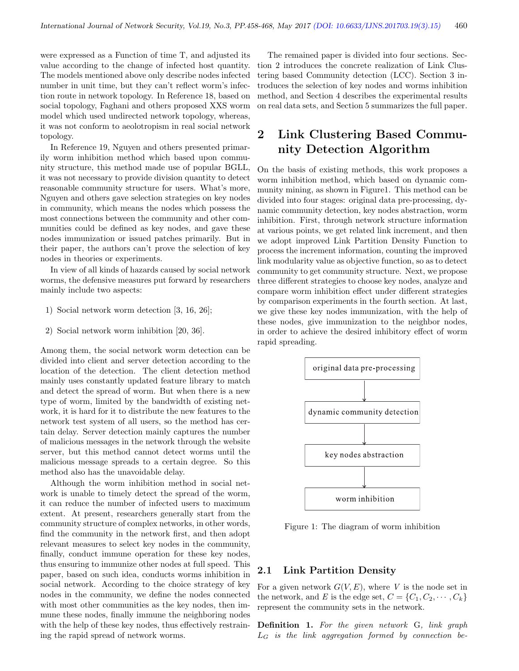were expressed as a Function of time T, and adjusted its value according to the change of infected host quantity. The models mentioned above only describe nodes infected number in unit time, but they can't reflect worm's infection route in network topology. In Reference 18, based on social topology, Faghani and others proposed XXS worm model which used undirected network topology, whereas, it was not conform to aeolotropism in real social network topology.

In Reference 19, Nguyen and others presented primarily worm inhibition method which based upon community structure, this method made use of popular BGLL, it was not necessary to provide division quantity to detect reasonable community structure for users. What's more, Nguyen and others gave selection strategies on key nodes in community, which means the nodes which possess the most connections between the community and other communities could be defined as key nodes, and gave these nodes immunization or issued patches primarily. But in their paper, the authors can't prove the selection of key nodes in theories or experiments.

In view of all kinds of hazards caused by social network worms, the defensive measures put forward by researchers mainly include two aspects:

- 1) Social network worm detection [3, 16, 26];
- 2) Social network worm inhibition [20, 36].

Among them, the social network worm detection can be divided into client and server detection according to the location of the detection. The client detection method mainly uses constantly updated feature library to match and detect the spread of worm. But when there is a new type of worm, limited by the bandwidth of existing network, it is hard for it to distribute the new features to the network test system of all users, so the method has certain delay. Server detection mainly captures the number of malicious messages in the network through the website server, but this method cannot detect worms until the malicious message spreads to a certain degree. So this method also has the unavoidable delay.

Although the worm inhibition method in social network is unable to timely detect the spread of the worm, it can reduce the number of infected users to maximum extent. At present, researchers generally start from the community structure of complex networks, in other words, find the community in the network first, and then adopt relevant measures to select key nodes in the community, finally, conduct immune operation for these key nodes, thus ensuring to immunize other nodes at full speed. This paper, based on such idea, conducts worms inhibition in social network. According to the choice strategy of key nodes in the community, we define the nodes connected with most other communities as the key nodes, then immune these nodes, finally immune the neighboring nodes with the help of these key nodes, thus effectively restraining the rapid spread of network worms.

The remained paper is divided into four sections. Section 2 introduces the concrete realization of Link Clustering based Community detection (LCC). Section 3 introduces the selection of key nodes and worms inhibition method, and Section 4 describes the experimental results on real data sets, and Section 5 summarizes the full paper.

# 2 Link Clustering Based Community Detection Algorithm

On the basis of existing methods, this work proposes a worm inhibition method, which based on dynamic community mining, as shown in Figure1. This method can be divided into four stages: original data pre-processing, dynamic community detection, key nodes abstraction, worm inhibition. First, through network structure information at various points, we get related link increment, and then we adopt improved Link Partition Density Function to process the increment information, counting the improved link modularity value as objective function, so as to detect community to get community structure. Next, we propose three different strategies to choose key nodes, analyze and compare worm inhibition effect under different strategies by comparison experiments in the fourth section. At last, we give these key nodes immunization, with the help of these nodes, give immunization to the neighbor nodes, in order to achieve the desired inhibitory effect of worm rapid spreading.



Figure 1: The diagram of worm inhibition

#### 2.1 Link Partition Density

For a given network  $G(V, E)$ , where V is the node set in the network, and E is the edge set,  $C = \{C_1, C_2, \cdots, C_k\}$ represent the community sets in the network.

Definition 1. For the given network G, link graph  $L_G$  is the link aggregation formed by connection be-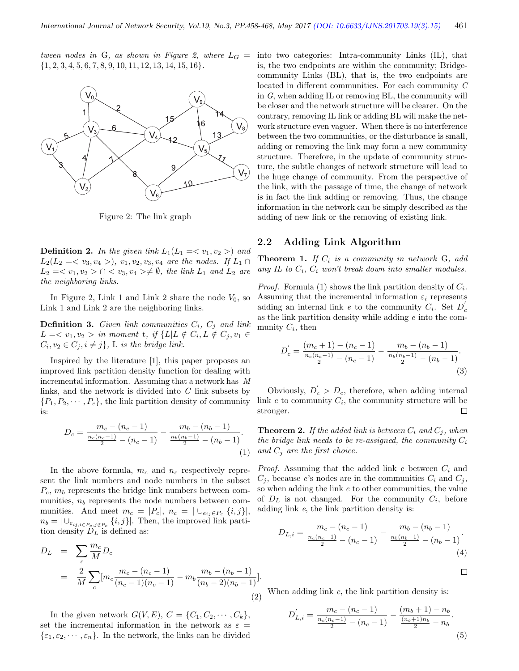tween nodes in G, as shown in Figure 2, where  $L_G =$  ${1, 2, 3, 4, 5, 6, 7, 8, 9, 10, 11, 12, 13, 14, 15, 16}.$ 



Figure 2: The link graph

**Definition 2.** In the given link  $L_1(L_1 = \langle v_1, v_2 \rangle)$  and  $L_2(L_2 = \langle v_3, v_4 \rangle)$ ,  $v_1, v_2, v_3, v_4$  are the nodes. If  $L_1 \cap$  $L_2 = \langle v_1, v_2 \rangle \cap \langle v_3, v_4 \rangle \neq \emptyset$ , the link  $L_1$  and  $L_2$  are the neighboring links.

In Figure 2, Link 1 and Link 2 share the node  $V_0$ , so Link 1 and Link 2 are the neighboring links.

**Definition 3.** Given link communities  $C_i$ ,  $C_j$  and link  $L = \langle v_1, v_2 \rangle$  in moment t, if  $\{L | L \notin C_i, L \notin C_j, v_1 \in$  $C_i, v_2 \in C_j, i \neq j$ , L is the bridge link.

Inspired by the literature [1], this paper proposes an improved link partition density function for dealing with incremental information. Assuming that a network has M links, and the network is divided into C link subsets by  $\{P_1, P_2, \cdots, P_c\}$ , the link partition density of community is:

$$
D_c = \frac{m_c - (n_c - 1)}{\frac{n_c(n_c - 1)}{2} - (n_c - 1)} - \frac{m_b - (n_b - 1)}{\frac{n_b(n_b - 1)}{2} - (n_b - 1)}.
$$
\n(1)

In the above formula,  $m_c$  and  $n_c$  respectively represent the link numbers and node numbers in the subset  $P_c$ ,  $m_b$  represents the bridge link numbers between communities,  $n_b$  represents the node numbers between communities. And meet  $m_c = |P_c|$ ,  $n_c = |\bigcup_{e_{ij} \in P_c} \{i, j\}|$ ,  $n_b = |\cup_{e_{ij,i \in P_c, j \notin P_c}} \{i, j\}|$ . Then, the improved link partition density  $D<sub>L</sub>$  is defined as:

$$
D_L = \sum_c \frac{m_c}{M} D_c
$$
  
= 
$$
\frac{2}{M} \sum_c [m_c \frac{m_c - (n_c - 1)}{(n_c - 1)(n_c - 1)} - m_b \frac{m_b - (n_b - 1)}{(n_b - 2)(n_b - 1)}].
$$
 (2)

In the given network  $G(V, E)$ ,  $C = \{C_1, C_2, \cdots, C_k\}$ , set the incremental information in the network as  $\varepsilon =$  $\{\varepsilon_1, \varepsilon_2, \cdots, \varepsilon_n\}$ . In the network, the links can be divided

into two categories: Intra-community Links (IL), that is, the two endpoints are within the community; Bridgecommunity Links (BL), that is, the two endpoints are located in different communities. For each community C in G, when adding IL or removing BL, the community will be closer and the network structure will be clearer. On the contrary, removing IL link or adding BL will make the network structure even vaguer. When there is no interference between the two communities, or the disturbance is small, adding or removing the link may form a new community structure. Therefore, in the update of community structure, the subtle changes of network structure will lead to the huge change of community. From the perspective of the link, with the passage of time, the change of network is in fact the link adding or removing. Thus, the change information in the network can be simply described as the adding of new link or the removing of existing link.

### 2.2 Adding Link Algorithm

**Theorem 1.** If  $C_i$  is a community in network  $G_i$ , add any IL to  $C_i$ ,  $C_i$  won't break down into smaller modules.

*Proof.* Formula (1) shows the link partition density of  $C_i$ . Assuming that the incremental information  $\varepsilon_i$  represents adding an internal link e to the community  $C_i$ . Set  $D_c$ as the link partition density while adding e into the community  $C_i$ , then

$$
D'_{c} = \frac{(m_{c}+1) - (n_{c}-1)}{\frac{n_{c}(n_{c}-1)}{2} - (n_{c}-1)} - \frac{m_{b} - (n_{b}-1)}{\frac{n_{b}(n_{b}-1)}{2} - (n_{b}-1)}.
$$
\n(3)

Obviously,  $D_c' > D_c$ , therefore, when adding internal link  $e$  to community  $C_i$ , the community structure will be stronger. П

**Theorem 2.** If the added link is between  $C_i$  and  $C_j$ , when the bridge link needs to be re-assigned, the community  $C_i$ and  $C_i$  are the first choice.

*Proof.* Assuming that the added link  $e$  between  $C_i$  and  $C_i$ , because e's nodes are in the communities  $C_i$  and  $C_j$ , so when adding the link  $e$  to other communities, the value of  $D_L$  is not changed. For the community  $C_i$ , before adding link e, the link partition density is:

$$
D_{L,i} = \frac{m_c - (n_c - 1)}{\frac{n_c(n_c - 1)}{2} - (n_c - 1)} - \frac{m_b - (n_b - 1)}{\frac{n_b(n_b - 1)}{2} - (n_b - 1)}.
$$
\n(4)

$$
\Box
$$

When adding link  $e$ , the link partition density is:

$$
D'_{L,i} = \frac{m_c - (n_c - 1)}{\frac{n_c(n_c - 1)}{2} - (n_c - 1)} - \frac{(m_b + 1) - n_b}{\frac{(n_b + 1)n_b}{2} - n_b}.
$$
\n(5)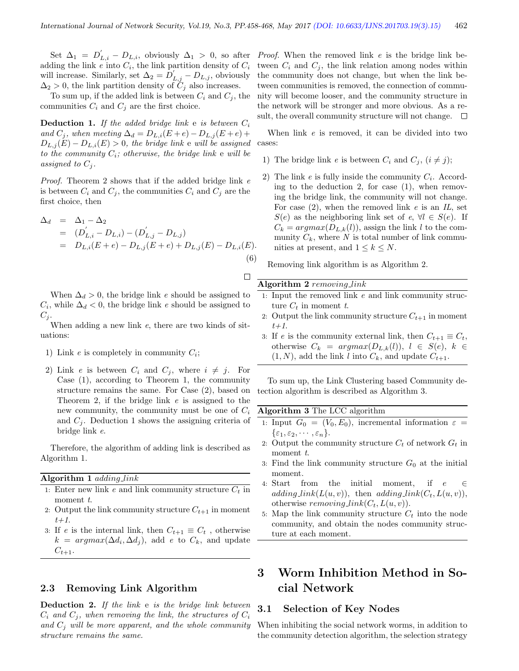$\Box$ 

Set  $\Delta_1 = D'_{L,i} - D_{L,i}$ , obviously  $\Delta_1 > 0$ , so after *Proof.* When the removed link e is the bridge link beadding the link  $e$  into  $C_i$ , the link partition density of  $C_i$ will increase. Similarly, set  $\Delta_2 = D'_{L,j} - D_{L,j}$ , obviously  $\Delta_2 > 0$ , the link partition density of  $C_j$  also increases.

To sum up, if the added link is between  $C_i$  and  $C_j$ , the communities  $C_i$  and  $C_j$  are the first choice.

**Deduction 1.** If the added bridge link  $e$  is between  $C_i$ and  $C_i$ , when meeting  $\Delta_d = D_{L,i}(E+e) - D_{L,i}(E+e) +$  $D_{L,j}(E) - D_{L,i}(E) > 0$ , the bridge link e will be assigned to the community  $C_i$ ; otherwise, the bridge link  $e$  will be assigned to  $C_i$ .

Proof. Theorem 2 shows that if the added bridge link e is between  $C_i$  and  $C_j$ , the communities  $C_i$  and  $C_j$  are the first choice, then

$$
\Delta_d = \Delta_1 - \Delta_2
$$
  
=  $(D'_{L,i} - D_{L,i}) - (D'_{L,j} - D_{L,j})$   
=  $D_{L,i}(E+e) - D_{L,j}(E+e) + D_{L,j}(E) - D_{L,i}(E).$   
(6)

When  $\Delta_d > 0$ , the bridge link e should be assigned to  $C_i$ , while  $\Delta_d < 0$ , the bridge link e should be assigned to  $C_j$ .

When adding a new link  $e$ , there are two kinds of situations:

- 1) Link  $e$  is completely in community  $C_i$ ;
- 2) Link e is between  $C_i$  and  $C_j$ , where  $i \neq j$ . For Case (1), according to Theorem 1, the community structure remains the same. For Case (2), based on Theorem 2, if the bridge link  $e$  is assigned to the new community, the community must be one of  $C_i$ and  $C_i$ . Deduction 1 shows the assigning criteria of bridge link e.

Therefore, the algorithm of adding link is described as Algorithm 1.

#### Algorithm 1 adding link

- 1: Enter new link e and link community structure  $C_t$  in moment t.
- 2: Output the link community structure  $C_{t+1}$  in moment  $t+1$ .
- 3: If e is the internal link, then  $C_{t+1} \equiv C_t$ , otherwise  $k = argmax(\Delta d_i, \Delta d_j)$ , add e to  $C_k$ , and update  $C_{t+1}$ .

#### 2.3 Removing Link Algorithm

Deduction 2. If the link e is the bridge link between  $C_i$  and  $C_j$ , when removing the link, the structures of  $C_i$ and  $C_i$  will be more apparent, and the whole community structure remains the same.

tween  $C_i$  and  $C_j$ , the link relation among nodes within the community does not change, but when the link between communities is removed, the connection of community will become looser, and the community structure in the network will be stronger and more obvious. As a result, the overall community structure will not change.  $\Box$ 

When link  $e$  is removed, it can be divided into two cases:

- 1) The bridge link e is between  $C_i$  and  $C_j$ ,  $(i \neq j)$ ;
- 2) The link  $e$  is fully inside the community  $C_i$ . According to the deduction 2, for case  $(1)$ , when removing the bridge link, the community will not change. For case  $(2)$ , when the removed link e is an IL, set  $S(e)$  as the neighboring link set of  $e, \forall l \in S(e)$ . If  $C_k = argmax(D_{L,k}(l))$ , assign the link l to the community  $C_k$ , where N is total number of link communities at present, and  $1 \leq k \leq N$ .

Removing link algorithm is as Algorithm 2.

#### Algorithm  $2$  removing link

- 1: Input the removed link e and link community structure  $C_t$  in moment t.
- 2: Output the link community structure  $C_{t+1}$  in moment  $t+1$ .
- 3: If e is the community external link, then  $C_{t+1} \equiv C_t$ , otherwise  $C_k = argmax(D_{L,k}(l)), l \in S(e), k \in$  $(1, N)$ , add the link l into  $C_k$ , and update  $C_{t+1}$ .

To sum up, the Link Clustering based Community detection algorithm is described as Algorithm 3.

#### Algorithm 3 The LCC algorithm

- 1: Input  $G_0 = (V_0, E_0)$ , incremental information  $\varepsilon =$  $\{\varepsilon_1, \varepsilon_2, \cdots, \varepsilon_n\}.$
- 2: Output the community structure  $C_t$  of network  $G_t$  in moment t.
- 3: Find the link community structure  $G_0$  at the initial moment.
- 4: Start from the initial moment, if  $e \in \mathbb{R}$ adding  $link(L(u, v))$ , then adding  $link(C_t, L(u, v))$ , otherwise *removing link* $(C_t, L(u, v))$ .
- 5: Map the link community structure  $C_t$  into the node community, and obtain the nodes community structure at each moment.

# 3 Worm Inhibition Method in Social Network

#### 3.1 Selection of Key Nodes

When inhibiting the social network worms, in addition to the community detection algorithm, the selection strategy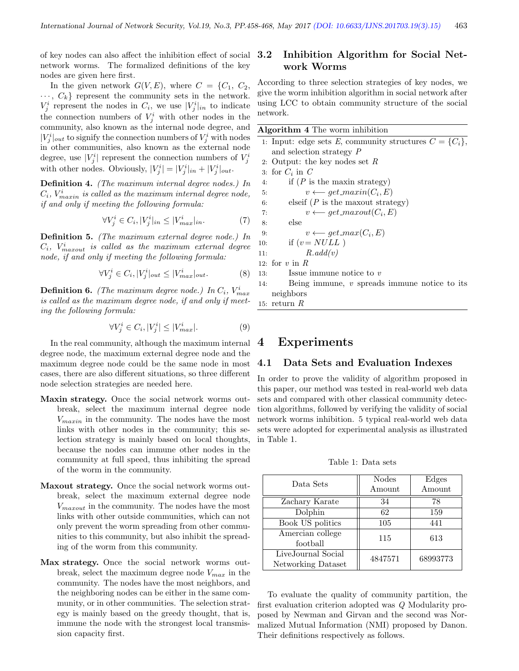of key nodes can also affect the inhibition effect of social network worms. The formalized definitions of the key nodes are given here first.

In the given network  $G(V, E)$ , where  $C = \{C_1, C_2,$  $\cdots, C_k$  represent the community sets in the network.  $V_j^i$  represent the nodes in  $C_i$ , we use  $|V_j^i|_{in}$  to indicate the connection numbers of  $V_j^i$  with other nodes in the community, also known as the internal node degree, and  $|V_j^i|_{out}$  to signify the connection numbers of  $V_j^i$  with nodes in other communities, also known as the external node degree, use  $|V_j^i|$  represent the connection numbers of  $V_j^i$ with other nodes. Obviously,  $|V_j^i| = |V_j^i|_{in} + |V_j^i|_{out}$ .

Definition 4. (The maximum internal degree nodes.) In  $C_i$ ,  $V_{maxin}^i$  is called as the maximum internal degree node, if and only if meeting the following formula:

$$
\forall V_j^i \in C_i, |V_j^i|_{in} \le |V_{max}^i|_{in}.\tag{7}
$$

Definition 5. (The maximum external degree node.) In  $C_i$ ,  $V_{maxout}^i$  is called as the maximum external degree node, if and only if meeting the following formula:

$$
\forall V_j^i \in C_i, |V_j^i|_{out} \le |V_{max}^i|_{out}.\tag{8}
$$

**Definition 6.** (The maximum degree node.) In  $C_i$ ,  $V_{max}^i$ is called as the maximum degree node, if and only if meeting the following formula:

$$
\forall V_j^i \in C_i, |V_j^i| \le |V_{max}^i|.
$$
\n(9)

In the real community, although the maximum internal degree node, the maximum external degree node and the maximum degree node could be the same node in most cases, there are also different situations, so three different node selection strategies are needed here.

- Maxin strategy. Once the social network worms outbreak, select the maximum internal degree node  $V_{maxin}$  in the community. The nodes have the most links with other nodes in the community; this selection strategy is mainly based on local thoughts, because the nodes can immune other nodes in the community at full speed, thus inhibiting the spread of the worm in the community.
- Maxout strategy. Once the social network worms outbreak, select the maximum external degree node  $V_{maxout}$  in the community. The nodes have the most links with other outside communities, which can not only prevent the worm spreading from other communities to this community, but also inhibit the spreading of the worm from this community.
- Max strategy. Once the social network worms outbreak, select the maximum degree node  $V_{max}$  in the community. The nodes have the most neighbors, and the neighboring nodes can be either in the same community, or in other communities. The selection strategy is mainly based on the greedy thought, that is, immune the node with the strongest local transmission capacity first.

### 3.2 Inhibition Algorithm for Social Network Worms

According to three selection strategies of key nodes, we give the worm inhibition algorithm in social network after using LCC to obtain community structure of the social network.

| Algorithm 4 The worm inhibition |                                                             |  |  |  |  |
|---------------------------------|-------------------------------------------------------------|--|--|--|--|
|                                 | 1. Input: edge sets E, community structures $C = \{C_i\},\$ |  |  |  |  |
|                                 | and selection strategy P                                    |  |  |  |  |
|                                 | 2. Output: the key nodes set $R$                            |  |  |  |  |
|                                 | 3: for $C_i$ in $C_i$                                       |  |  |  |  |
| 4:                              | if $(P$ is the maxin strategy)                              |  |  |  |  |
| 5:                              | $v \longleftarrow get\_maxin(C_i, E)$                       |  |  |  |  |
| 6:                              | elseif ( $P$ is the maxout strategy)                        |  |  |  |  |
| 7:                              | $v \longleftarrow get\_maxout(C_i, E)$                      |  |  |  |  |
| 8:                              | else                                                        |  |  |  |  |
| 9:                              | $v \longleftarrow get\_max(C_i, E)$                         |  |  |  |  |
| 10:                             | if $(v = NULL)$                                             |  |  |  |  |
| 11:                             | R.add(v)                                                    |  |  |  |  |
|                                 | 12: for $v$ in $R$                                          |  |  |  |  |
| 13:                             | Issue immune notice to $v$                                  |  |  |  |  |
| 14:                             | Being immune, $v$ spreads immune notice to its              |  |  |  |  |
|                                 | neighbors                                                   |  |  |  |  |
|                                 | 15: return $R$                                              |  |  |  |  |

## 4 Experiments

#### 4.1 Data Sets and Evaluation Indexes

In order to prove the validity of algorithm proposed in this paper, our method was tested in real-world web data sets and compared with other classical community detection algorithms, followed by verifying the validity of social network worms inhibition. 5 typical real-world web data sets were adopted for experimental analysis as illustrated in Table 1.

Table 1: Data sets

| Data Sets                                | <b>Nodes</b><br>Amount | Edges<br>Amount |
|------------------------------------------|------------------------|-----------------|
| Zachary Karate                           | 34                     | 78              |
| Dolphin                                  | 62                     | 159             |
| Book US politics                         | 105                    | 441             |
| Amercian college<br>football             | 115                    | 613             |
| LiveJournal Social<br>Networking Dataset | 4847571                | 68993773        |

To evaluate the quality of community partition, the first evaluation criterion adopted was Q Modularity proposed by Newman and Girvan and the second was Normalized Mutual Information (NMI) proposed by Danon. Their definitions respectively as follows.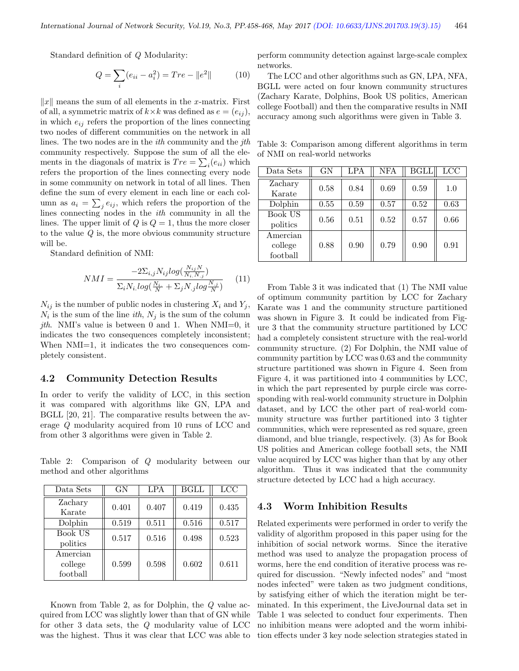Standard definition of Q Modularity:

$$
Q = \sum_{i} (e_{ii} - a_i^2) = Tre - ||e^2|| \tag{10}
$$

 $||x||$  means the sum of all elements in the x-matrix. First of all, a symmetric matrix of  $k \times k$  was defined as  $e = (e_{ij}),$ in which  $e_{ij}$  refers the proportion of the lines connecting two nodes of different communities on the network in all lines. The two nodes are in the *ith* community and the *jth* community respectively. Suppose the sum of all the elements in the diagonals of matrix is  $Tre = \sum_i (e_{ii})$  which refers the proportion of the lines connecting every node in some community on network in total of all lines. Then define the sum of every element in each line or each column as  $a_i = \sum_j e_{ij}$ , which refers the proportion of the lines connecting nodes in the ith community in all the lines. The upper limit of  $Q$  is  $Q = 1$ , thus the more closer to the value  $Q$  is, the more obvious community structure will be.

Standard definition of NMI:

$$
NMI = \frac{-2\Sigma_{i,j} N_{ij} log(\frac{N_{ij}N}{N_i N_{.j}})}{\Sigma_i N_i log(\frac{N_i}{N} + \Sigma_j N_{.j} log\frac{N_{.j}}{N})}
$$
(11)

 $N_{ij}$  is the number of public nodes in clustering  $X_i$  and  $Y_j$ ,  $N_i$  is the sum of the line *ith*,  $N_j$  is the sum of the column *jth.* NMI's value is between 0 and 1. When NMI=0, it indicates the two consequences completely inconsistent; When NMI=1, it indicates the two consequences completely consistent.

#### 4.2 Community Detection Results

In order to verify the validity of LCC, in this section it was compared with algorithms like GN, LPA and BGLL [20, 21]. The comparative results between the average Q modularity acquired from 10 runs of LCC and from other 3 algorithms were given in Table 2.

Table 2: Comparison of Q modularity between our method and other algorithms

| Data Sets                       | GN    | LPA   | <b>BGLL</b> | <b>LCC</b> |
|---------------------------------|-------|-------|-------------|------------|
| Zachary<br>Karate               | 0.401 | 0.407 | 0.419       | 0.435      |
| Dolphin                         | 0.519 | 0.511 | 0.516       | 0.517      |
| Book US<br>politics             | 0.517 | 0.516 | 0.498       | 0.523      |
| Amercian<br>college<br>football | 0.599 | 0.598 | 0.602       | 0.611      |

Known from Table 2, as for Dolphin, the Q value acquired from LCC was slightly lower than that of GN while for other 3 data sets, the Q modularity value of LCC was the highest. Thus it was clear that LCC was able to perform community detection against large-scale complex networks.

The LCC and other algorithms such as GN, LPA, NFA, BGLL were acted on four known community structures (Zachary Karate, Dolphins, Book US politics, American college Football) and then the comparative results in NMI accuracy among such algorithms were given in Table 3.

Table 3: Comparison among different algorithms in term of NMI on real-world networks

| Data Sets                       | GN   | LPA  | <b>NFA</b> | <b>BGLL</b> | LCC  |
|---------------------------------|------|------|------------|-------------|------|
| Zachary<br>Karate               | 0.58 | 0.84 | 0.69       | 0.59        | 1.0  |
| Dolphin                         | 0.55 | 0.59 | 0.57       | 0.52        | 0.63 |
| Book US<br>politics             | 0.56 | 0.51 | 0.52       | 0.57        | 0.66 |
| Amercian<br>college<br>football | 0.88 | 0.90 | 0.79       | 0.90        | 0.91 |

From Table 3 it was indicated that (1) The NMI value of optimum community partition by LCC for Zachary Karate was 1 and the community structure partitioned was shown in Figure 3. It could be indicated from Figure 3 that the community structure partitioned by LCC had a completely consistent structure with the real-world community structure. (2) For Dolphin, the NMI value of community partition by LCC was 0.63 and the community structure partitioned was shown in Figure 4. Seen from Figure 4, it was partitioned into 4 communities by LCC, in which the part represented by purple circle was corresponding with real-world community structure in Dolphin dataset, and by LCC the other part of real-world community structure was further partitioned into 3 tighter communities, which were represented as red square, green diamond, and blue triangle, respectively. (3) As for Book US polities and American college football sets, the NMI value acquired by LCC was higher than that by any other algorithm. Thus it was indicated that the community structure detected by LCC had a high accuracy.

#### 4.3 Worm Inhibition Results

Related experiments were performed in order to verify the validity of algorithm proposed in this paper using for the inhibition of social network worms. Since the iterative method was used to analyze the propagation process of worms, here the end condition of iterative process was required for discussion. "Newly infected nodes" and "most nodes infected" were taken as two judgment conditions, by satisfying either of which the iteration might be terminated. In this experiment, the LiveJournal data set in Table 1 was selected to conduct four experiments. Then no inhibition means were adopted and the worm inhibition effects under 3 key node selection strategies stated in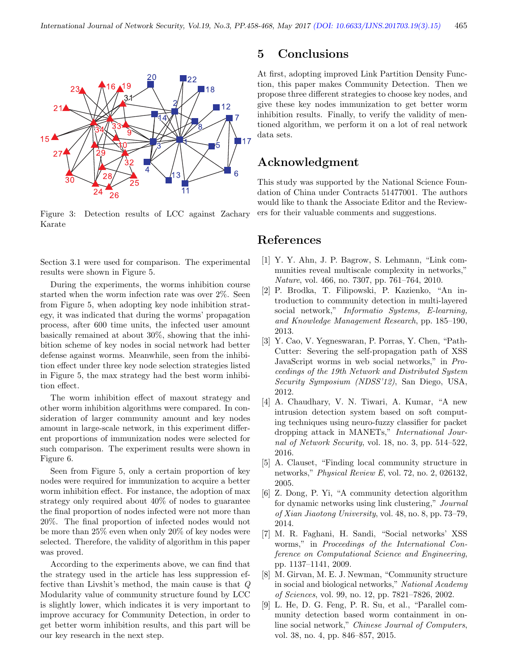

Figure 3: Detection results of LCC against Zachary Karate

Section 3.1 were used for comparison. The experimental results were shown in Figure 5.

During the experiments, the worms inhibition course started when the worm infection rate was over 2%. Seen from Figure 5, when adopting key node inhibition strategy, it was indicated that during the worms' propagation process, after 600 time units, the infected user amount basically remained at about 30%, showing that the inhibition scheme of key nodes in social network had better defense against worms. Meanwhile, seen from the inhibition effect under three key node selection strategies listed in Figure 5, the max strategy had the best worm inhibition effect.

The worm inhibition effect of maxout strategy and other worm inhibition algorithms were compared. In consideration of larger community amount and key nodes amount in large-scale network, in this experiment different proportions of immunization nodes were selected for such comparison. The experiment results were shown in Figure 6.

Seen from Figure 5, only a certain proportion of key nodes were required for immunization to acquire a better worm inhibition effect. For instance, the adoption of max strategy only required about 40% of nodes to guarantee the final proportion of nodes infected were not more than 20%. The final proportion of infected nodes would not be more than 25% even when only 20% of key nodes were selected. Therefore, the validity of algorithm in this paper was proved.

According to the experiments above, we can find that the strategy used in the article has less suppression effective than Livshit's method, the main cause is that Q Modularity value of community structure found by LCC is slightly lower, which indicates it is very important to improve accuracy for Community Detection, in order to get better worm inhibition results, and this part will be our key research in the next step.

### 5 Conclusions

At first, adopting improved Link Partition Density Function, this paper makes Community Detection. Then we propose three different strategies to choose key nodes, and give these key nodes immunization to get better worm inhibition results. Finally, to verify the validity of mentioned algorithm, we perform it on a lot of real network data sets.

# Acknowledgment

This study was supported by the National Science Foundation of China under Contracts 51477001. The authors would like to thank the Associate Editor and the Reviewers for their valuable comments and suggestions.

### References

- [1] Y. Y. Ahn, J. P. Bagrow, S. Lehmann, "Link communities reveal multiscale complexity in networks," Nature, vol. 466, no. 7307, pp. 761–764, 2010.
- [2] P. Brodka, T. Filipowski, P. Kazienko, "An introduction to community detection in multi-layered social network," *Informatio Systems*, *E-learning*, and Knowledge Management Research, pp. 185–190, 2013.
- [3] Y. Cao, V. Yegneswaran, P. Porras, Y. Chen, "Path-Cutter: Severing the self-propagation path of XSS JavaScript worms in web social networks," in Proceedings of the 19th Network and Distributed System Security Symposium (NDSS'12), San Diego, USA, 2012.
- [4] A. Chaudhary, V. N. Tiwari, A. Kumar, "A new intrusion detection system based on soft computing techniques using neuro-fuzzy classifier for packet dropping attack in MANETs," International Journal of Network Security, vol. 18, no. 3, pp. 514–522, 2016.
- [5] A. Clauset, "Finding local community structure in networks," Physical Review E, vol. 72, no. 2, 026132, 2005.
- [6] Z. Dong, P. Yi, "A community detection algorithm for dynamic networks using link clustering," Journal of Xian Jiaotong University, vol. 48, no. 8, pp. 73–79, 2014.
- [7] M. R. Faghani, H. Sandi, "Social networks' XSS worms," in Proceedings of the International Conference on Computational Science and Engineering, pp. 1137–1141, 2009.
- [8] M. Girvan, M. E. J. Newman, "Community structure in social and biological networks," National Academy of Sciences, vol. 99, no. 12, pp. 7821–7826, 2002.
- [9] L. He, D. G. Feng, P. R. Su, et al., "Parallel community detection based worm containment in online social network," Chinese Journal of Computers, vol. 38, no. 4, pp. 846–857, 2015.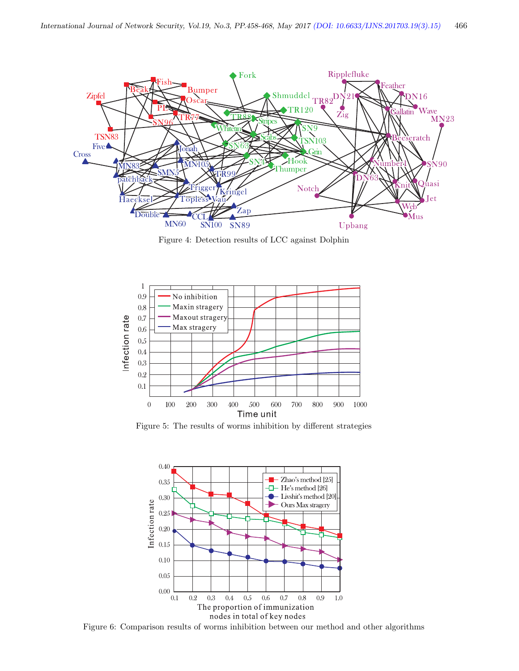

Figure 4: Detection results of LCC against Dolphin



Figure 5: The results of worms inhibition by different strategies



Figure 6: Comparison results of worms inhibition between our method and other algorithms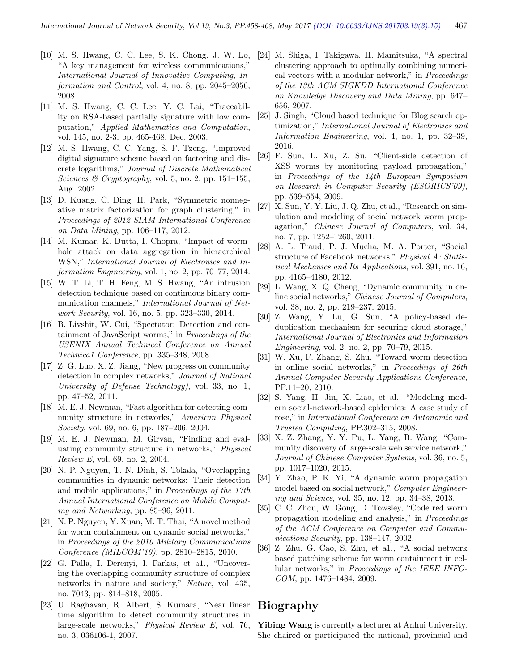- [10] M. S. Hwang, C. C. Lee, S. K. Chong, J. W. Lo, "A key management for wireless communications," International Journal of Innovative Computing, Information and Control, vol. 4, no. 8, pp. 2045–2056, 2008.
- [11] M. S. Hwang, C. C. Lee, Y. C. Lai, "Traceability on RSA-based partially signature with low computation," Applied Mathematics and Computation, vol. 145, no. 2-3, pp. 465-468, Dec. 2003.
- [12] M. S. Hwang, C. C. Yang, S. F. Tzeng, "Improved digital signature scheme based on factoring and discrete logarithms," Journal of Discrete Mathematical Sciences & Cryptography, vol. 5, no. 2, pp. 151–155, Aug. 2002.
- [13] D. Kuang, C. Ding, H. Park, "Symmetric nonnegative matrix factorization for graph clustering," in Proceedings of 2012 SIAM International Conference on Data Mining, pp. 106–117, 2012.
- [14] M. Kumar, K. Dutta, I. Chopra, "Impact of wormhole attack on data aggregation in hieracrchical WSN," International Journal of Electronics and Information Engineering, vol. 1, no. 2, pp. 70–77, 2014.
- [15] W. T. Li, T. H. Feng, M. S. Hwang, "An intrusion detection technique based on continuous binary communication channels," International Journal of Network Security, vol. 16, no. 5, pp. 323–330, 2014.
- [16] B. Livshit, W. Cui, "Spectator: Detection and containment of JavaScript worms," in Proceedings of the USENIX Annual Technical Conference on Annual Technica1 Conference, pp. 335–348, 2008.
- [17] Z. G. Luo, X. Z. Jiang, "New progress on community detection in complex networks," Journal of National University of Defense Technology), vol. 33, no. 1, pp. 47–52, 2011.
- [18] M. E. J. Newman, "Fast algorithm for detecting community structure in networks," American Physical Society, vol. 69, no. 6, pp. 187–206, 2004.
- [19] M. E. J. Newman, M. Girvan, "Finding and evaluating community structure in networks," Physical Review E, vol. 69, no. 2, 2004.
- [20] N. P. Nguyen, T. N. Dinh, S. Tokala, "Overlapping communities in dynamic networks: Their detection and mobile applications," in Proceedings of the 17th Annual International Conference on Mobile Computing and Networking, pp. 85–96, 2011.
- [21] N. P. Nguyen, Y. Xuan, M. T. Thai, "A novel method for worm containment on dynamic social networks," in Proceedings of the 2010 Military Communications Conference (MILCOM'10), pp. 2810–2815, 2010.
- [22] G. Palla, I. Derenyi, I. Farkas, et a1., "Uncovering the overlapping community structure of complex networks in nature and society," Nature, vol. 435, no. 7043, pp. 814–818, 2005.
- [23] U. Raghavan, R. Albert, S. Kumara, "Near linear time algorithm to detect community structures in large-scale networks," Physical Review E, vol. 76, no. 3, 036106-1, 2007.
- [24] M. Shiga, I. Takigawa, H. Mamitsuka, "A spectral clustering approach to optimally combining numerical vectors with a modular network," in Proceedings of the 13th ACM SIGKDD International Conference on Knowledge Discovery and Data Mining, pp. 647– 656, 2007.
- [25] J. Singh, "Cloud based technique for Blog search optimization," International Journal of Electronics and Information Engineering, vol. 4, no. 1, pp. 32–39, 2016.
- [26] F. Sun, L. Xu, Z. Su, "Client-side detection of XSS worms by monitoring payload propagation," in Proceedings of the 14th European Symposium on Research in Computer Security (ESORICS'09), pp. 539–554, 2009.
- [27] X. Sun, Y. Y. Liu, J. Q. Zhu, et al., "Research on simulation and modeling of social network worm propagation," Chinese Journal of Computers, vol. 34, no. 7, pp. 1252–1260, 2011.
- [28] A. L. Traud, P. J. Mucha, M. A. Porter, "Social structure of Facebook networks," Physical A: Statistical Mechanics and Its Applications, vol. 391, no. 16, pp. 4165–4180, 2012.
- [29] L. Wang, X. Q. Cheng, "Dynamic community in online social networks," Chinese Journal of Computers, vol. 38, no. 2, pp. 219–237, 2015.
- [30] Z. Wang, Y. Lu, G. Sun, "A policy-based deduplication mechanism for securing cloud storage," International Journal of Electronics and Information Engineering, vol. 2, no. 2, pp. 70–79, 2015.
- [31] W. Xu, F. Zhang, S. Zhu, "Toward worm detection in online social networks," in Proceedings of 26th Annual Computer Security Applications Conference, PP.11–20, 2010.
- [32] S. Yang, H. Jin, X. Liao, et al., "Modeling modern social-network-based epidemics: A case study of rose," in International Conference on Autonomic and Trusted Computing, PP.302–315, 2008.
- [33] X. Z. Zhang, Y. Y. Pu, L. Yang, B. Wang, "Community discovery of large-scale web service network," Journal of Chinese Computer Systems, vol. 36, no. 5, pp. 1017–1020, 2015.
- [34] Y. Zhao, P. K. Yi, "A dynamic worm propagation model based on social network," Computer Engineering and Science, vol. 35, no. 12, pp. 34–38, 2013.
- [35] C. C. Zhou, W. Gong, D. Towsley, "Code red worm propagation modeling and analysis," in Proceedings of the ACM Conference on Computer and Communications Security, pp. 138–147, 2002.
- [36] Z. Zhu, G. Cao, S. Zhu, et a1., "A social network based patching scheme for worm containment in cellular networks," in Proceedings of the IEEE INFO-COM, pp. 1476–1484, 2009.

# Biography

Yibing Wang is currently a lecturer at Anhui University. She chaired or participated the national, provincial and